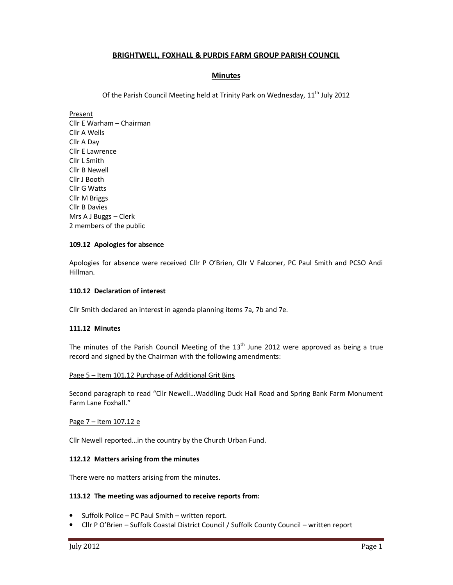# **BRIGHTWELL, FOXHALL & PURDIS FARM GROUP PARISH COUNCIL**

# **Minutes**

Of the Parish Council Meeting held at Trinity Park on Wednesday,  $11<sup>th</sup>$  July 2012

Present Cllr E Warham – Chairman Cllr A Wells Cllr A Day Cllr E Lawrence Cllr L Smith Cllr B Newell Cllr J Booth Cllr G Watts Cllr M Briggs Cllr B Davies Mrs A J Buggs – Clerk 2 members of the public

## **109.12 Apologies for absence**

Apologies for absence were received Cllr P O'Brien, Cllr V Falconer, PC Paul Smith and PCSO Andi Hillman.

#### **110.12 Declaration of interest**

Cllr Smith declared an interest in agenda planning items 7a, 7b and 7e.

# **111.12 Minutes**

The minutes of the Parish Council Meeting of the  $13<sup>th</sup>$  June 2012 were approved as being a true record and signed by the Chairman with the following amendments:

#### Page 5 – Item 101.12 Purchase of Additional Grit Bins

Second paragraph to read "Cllr Newell…Waddling Duck Hall Road and Spring Bank Farm Monument Farm Lane Foxhall."

#### Page 7 – Item 107.12 e

Cllr Newell reported…in the country by the Church Urban Fund.

# **112.12 Matters arising from the minutes**

There were no matters arising from the minutes.

#### **113.12 The meeting was adjourned to receive reports from:**

- Suffolk Police PC Paul Smith written report.
- Cllr P O'Brien Suffolk Coastal District Council / Suffolk County Council written report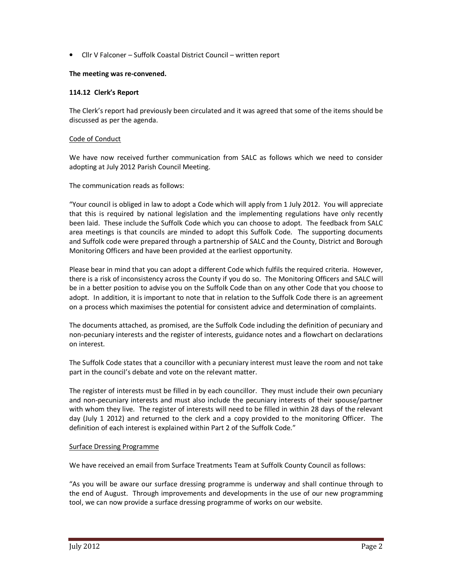• Cllr V Falconer – Suffolk Coastal District Council – written report

#### **The meeting was re-convened.**

## **114.12 Clerk's Report**

The Clerk's report had previously been circulated and it was agreed that some of the items should be discussed as per the agenda.

## Code of Conduct

We have now received further communication from SALC as follows which we need to consider adopting at July 2012 Parish Council Meeting.

The communication reads as follows:

"Your council is obliged in law to adopt a Code which will apply from 1 July 2012. You will appreciate that this is required by national legislation and the implementing regulations have only recently been laid. These include the Suffolk Code which you can choose to adopt. The feedback from SALC area meetings is that councils are minded to adopt this Suffolk Code. The supporting documents and Suffolk code were prepared through a partnership of SALC and the County, District and Borough Monitoring Officers and have been provided at the earliest opportunity.

Please bear in mind that you can adopt a different Code which fulfils the required criteria. However, there is a risk of inconsistency across the County if you do so. The Monitoring Officers and SALC will be in a better position to advise you on the Suffolk Code than on any other Code that you choose to adopt. In addition, it is important to note that in relation to the Suffolk Code there is an agreement on a process which maximises the potential for consistent advice and determination of complaints.

The documents attached, as promised, are the Suffolk Code including the definition of pecuniary and non-pecuniary interests and the register of interests, guidance notes and a flowchart on declarations on interest.

The Suffolk Code states that a councillor with a pecuniary interest must leave the room and not take part in the council's debate and vote on the relevant matter.

The register of interests must be filled in by each councillor. They must include their own pecuniary and non-pecuniary interests and must also include the pecuniary interests of their spouse/partner with whom they live. The register of interests will need to be filled in within 28 days of the relevant day (July 1 2012) and returned to the clerk and a copy provided to the monitoring Officer. The definition of each interest is explained within Part 2 of the Suffolk Code."

#### Surface Dressing Programme

We have received an email from Surface Treatments Team at Suffolk County Council as follows:

"As you will be aware our surface dressing programme is underway and shall continue through to the end of August. Through improvements and developments in the use of our new programming tool, we can now provide a surface dressing programme of works on our website.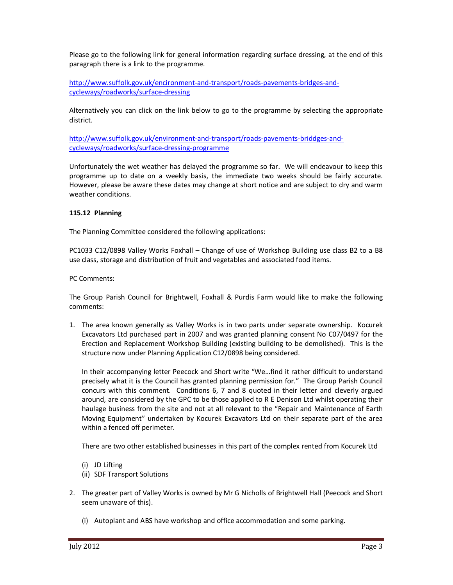Please go to the following link for general information regarding surface dressing, at the end of this paragraph there is a link to the programme.

http://www.suffolk.gov.uk/encironment-and-transport/roads-pavements-bridges-andcycleways/roadworks/surface-dressing

Alternatively you can click on the link below to go to the programme by selecting the appropriate district.

http://www.suffolk.gov.uk/environment-and-transport/roads-pavements-briddges-andcycleways/roadworks/surface-dressing-programme

Unfortunately the wet weather has delayed the programme so far. We will endeavour to keep this programme up to date on a weekly basis, the immediate two weeks should be fairly accurate. However, please be aware these dates may change at short notice and are subject to dry and warm weather conditions.

## **115.12 Planning**

The Planning Committee considered the following applications:

PC1033 C12/0898 Valley Works Foxhall – Change of use of Workshop Building use class B2 to a B8 use class, storage and distribution of fruit and vegetables and associated food items.

#### PC Comments:

The Group Parish Council for Brightwell, Foxhall & Purdis Farm would like to make the following comments:

1. The area known generally as Valley Works is in two parts under separate ownership. Kocurek Excavators Ltd purchased part in 2007 and was granted planning consent No C07/0497 for the Erection and Replacement Workshop Building (existing building to be demolished). This is the structure now under Planning Application C12/0898 being considered.

In their accompanying letter Peecock and Short write "We…find it rather difficult to understand precisely what it is the Council has granted planning permission for." The Group Parish Council concurs with this comment. Conditions 6, 7 and 8 quoted in their letter and cleverly argued around, are considered by the GPC to be those applied to R E Denison Ltd whilst operating their haulage business from the site and not at all relevant to the "Repair and Maintenance of Earth Moving Equipment" undertaken by Kocurek Excavators Ltd on their separate part of the area within a fenced off perimeter.

There are two other established businesses in this part of the complex rented from Kocurek Ltd

- (i) JD Lifting
- (ii) SDF Transport Solutions
- 2. The greater part of Valley Works is owned by Mr G Nicholls of Brightwell Hall (Peecock and Short seem unaware of this).
	- (i) Autoplant and ABS have workshop and office accommodation and some parking.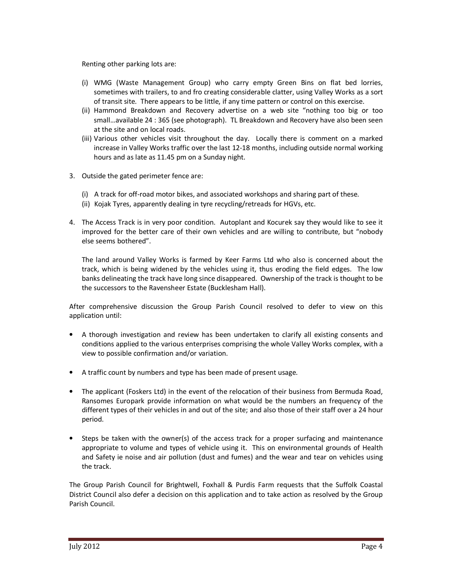Renting other parking lots are:

- (i) WMG (Waste Management Group) who carry empty Green Bins on flat bed lorries, sometimes with trailers, to and fro creating considerable clatter, using Valley Works as a sort of transit site. There appears to be little, if any time pattern or control on this exercise.
- (ii) Hammond Breakdown and Recovery advertise on a web site "nothing too big or too small…available 24 : 365 (see photograph). TL Breakdown and Recovery have also been seen at the site and on local roads.
- (iii) Various other vehicles visit throughout the day. Locally there is comment on a marked increase in Valley Works traffic over the last 12-18 months, including outside normal working hours and as late as 11.45 pm on a Sunday night.
- 3. Outside the gated perimeter fence are:
	- (i) A track for off-road motor bikes, and associated workshops and sharing part of these.
	- (ii) Kojak Tyres, apparently dealing in tyre recycling/retreads for HGVs, etc.
- 4. The Access Track is in very poor condition. Autoplant and Kocurek say they would like to see it improved for the better care of their own vehicles and are willing to contribute, but "nobody else seems bothered".

The land around Valley Works is farmed by Keer Farms Ltd who also is concerned about the track, which is being widened by the vehicles using it, thus eroding the field edges. The low banks delineating the track have long since disappeared. Ownership of the track is thought to be the successors to the Ravensheer Estate (Bucklesham Hall).

After comprehensive discussion the Group Parish Council resolved to defer to view on this application until:

- A thorough investigation and review has been undertaken to clarify all existing consents and conditions applied to the various enterprises comprising the whole Valley Works complex, with a view to possible confirmation and/or variation.
- A traffic count by numbers and type has been made of present usage.
- The applicant (Foskers Ltd) in the event of the relocation of their business from Bermuda Road, Ransomes Europark provide information on what would be the numbers an frequency of the different types of their vehicles in and out of the site; and also those of their staff over a 24 hour period.
- Steps be taken with the owner(s) of the access track for a proper surfacing and maintenance appropriate to volume and types of vehicle using it. This on environmental grounds of Health and Safety ie noise and air pollution (dust and fumes) and the wear and tear on vehicles using the track.

The Group Parish Council for Brightwell, Foxhall & Purdis Farm requests that the Suffolk Coastal District Council also defer a decision on this application and to take action as resolved by the Group Parish Council.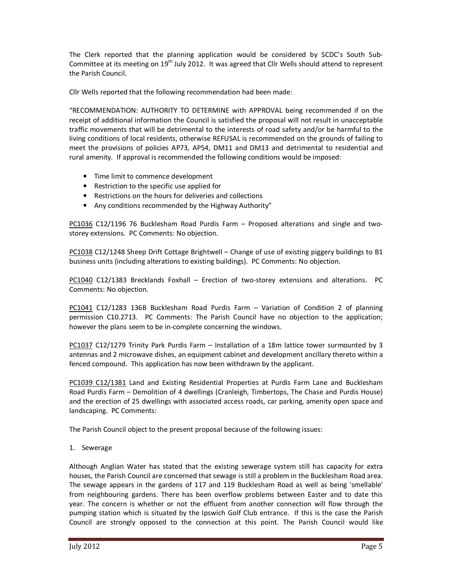The Clerk reported that the planning application would be considered by SCDC's South Sub-Committee at its meeting on  $19<sup>th</sup>$  July 2012. It was agreed that Cllr Wells should attend to represent the Parish Council.

Cllr Wells reported that the following recommendation had been made:

"RECOMMENDATION: AUTHORITY TO DETERMINE with APPROVAL being recommended if on the receipt of additional information the Council is satisfied the proposal will not result in unacceptable traffic movements that will be detrimental to the interests of road safety and/or be harmful to the living conditions of local residents, otherwise REFUSAL is recommended on the grounds of failing to meet the provisions of policies AP73, AP54, DM11 and DM13 and detrimental to residential and rural amenity. If approval is recommended the following conditions would be imposed:

- Time limit to commence development
- Restriction to the specific use applied for
- Restrictions on the hours for deliveries and collections
- Any conditions recommended by the Highway Authority"

PC1036 C12/1196 76 Bucklesham Road Purdis Farm – Proposed alterations and single and twostorey extensions. PC Comments: No objection.

PC1038 C12/1248 Sheep Drift Cottage Brightwell – Change of use of existing piggery buildings to B1 business units (including alterations to existing buildings). PC Comments: No objection.

PC1040 C12/1383 Brecklands Foxhall – Erection of two-storey extensions and alterations. PC Comments: No objection.

PC1041 C12/1283 136B Bucklesham Road Purdis Farm – Variation of Condition 2 of planning permission C10.2713. PC Comments: The Parish Council have no objection to the application; however the plans seem to be in-complete concerning the windows.

PC1037 C12/1279 Trinity Park Purdis Farm – Installation of a 18m lattice tower surmounted by 3 antennas and 2 microwave dishes, an equipment cabinet and development ancillary thereto within a fenced compound. This application has now been withdrawn by the applicant.

PC1039 C12/1381 Land and Existing Residential Properties at Purdis Farm Lane and Bucklesham Road Purdis Farm – Demolition of 4 dwellings (Cranleigh, Timbertops, The Chase and Purdis House) and the erection of 25 dwellings with associated access roads, car parking, amenity open space and landscaping. PC Comments:

The Parish Council object to the present proposal because of the following issues:

1. Sewerage

Although Anglian Water has stated that the existing sewerage system still has capacity for extra houses, the Parish Council are concerned that sewage is still a problem in the Bucklesham Road area. The sewage appears in the gardens of 117 and 119 Bucklesham Road as well as being 'smellable' from neighbouring gardens. There has been overflow problems between Easter and to date this year. The concern is whether or not the effluent from another connection will flow through the pumping station which is situated by the Ipswich Golf Club entrance. If this is the case the Parish Council are strongly opposed to the connection at this point. The Parish Council would like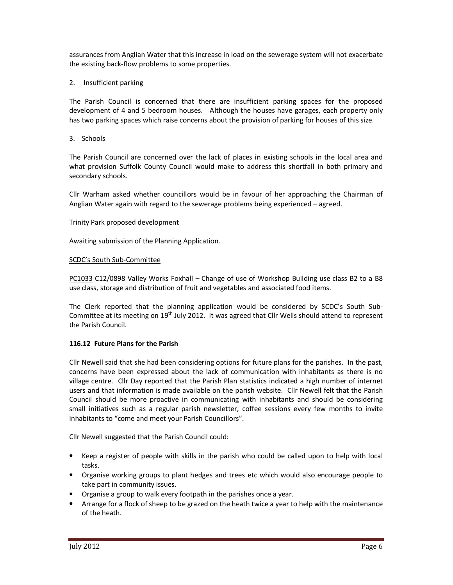assurances from Anglian Water that this increase in load on the sewerage system will not exacerbate the existing back-flow problems to some properties.

2. Insufficient parking

The Parish Council is concerned that there are insufficient parking spaces for the proposed development of 4 and 5 bedroom houses. Although the houses have garages, each property only has two parking spaces which raise concerns about the provision of parking for houses of this size.

3. Schools

The Parish Council are concerned over the lack of places in existing schools in the local area and what provision Suffolk County Council would make to address this shortfall in both primary and secondary schools.

Cllr Warham asked whether councillors would be in favour of her approaching the Chairman of Anglian Water again with regard to the sewerage problems being experienced – agreed.

#### Trinity Park proposed development

Awaiting submission of the Planning Application.

#### SCDC's South Sub-Committee

PC1033 C12/0898 Valley Works Foxhall – Change of use of Workshop Building use class B2 to a B8 use class, storage and distribution of fruit and vegetables and associated food items.

The Clerk reported that the planning application would be considered by SCDC's South Sub-Committee at its meeting on  $19<sup>th</sup>$  July 2012. It was agreed that Cllr Wells should attend to represent the Parish Council.

#### **116.12 Future Plans for the Parish**

Cllr Newell said that she had been considering options for future plans for the parishes. In the past, concerns have been expressed about the lack of communication with inhabitants as there is no village centre. Cllr Day reported that the Parish Plan statistics indicated a high number of internet users and that information is made available on the parish website. Cllr Newell felt that the Parish Council should be more proactive in communicating with inhabitants and should be considering small initiatives such as a regular parish newsletter, coffee sessions every few months to invite inhabitants to "come and meet your Parish Councillors".

Cllr Newell suggested that the Parish Council could:

- Keep a register of people with skills in the parish who could be called upon to help with local tasks.
- Organise working groups to plant hedges and trees etc which would also encourage people to take part in community issues.
- Organise a group to walk every footpath in the parishes once a year.
- Arrange for a flock of sheep to be grazed on the heath twice a year to help with the maintenance of the heath.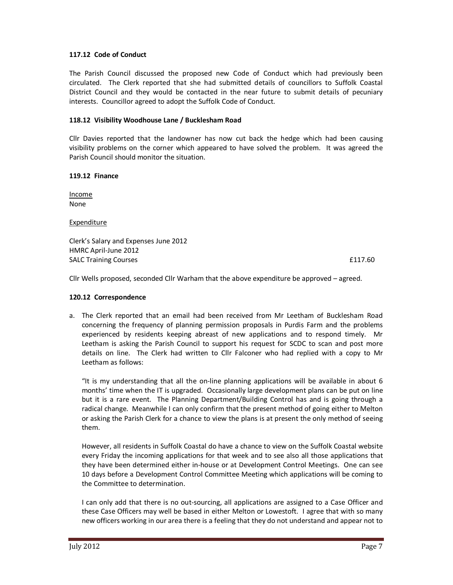## **117.12 Code of Conduct**

The Parish Council discussed the proposed new Code of Conduct which had previously been circulated. The Clerk reported that she had submitted details of councillors to Suffolk Coastal District Council and they would be contacted in the near future to submit details of pecuniary interests. Councillor agreed to adopt the Suffolk Code of Conduct.

## **118.12 Visibility Woodhouse Lane / Bucklesham Road**

Cllr Davies reported that the landowner has now cut back the hedge which had been causing visibility problems on the corner which appeared to have solved the problem. It was agreed the Parish Council should monitor the situation.

## **119.12 Finance**

Income None

#### **Expenditure**

Clerk's Salary and Expenses June 2012 HMRC April-June 2012 SALC Training Courses **E117.60** 

Cllr Wells proposed, seconded Cllr Warham that the above expenditure be approved – agreed.

#### **120.12 Correspondence**

a. The Clerk reported that an email had been received from Mr Leetham of Bucklesham Road concerning the frequency of planning permission proposals in Purdis Farm and the problems experienced by residents keeping abreast of new applications and to respond timely. Mr Leetham is asking the Parish Council to support his request for SCDC to scan and post more details on line. The Clerk had written to Cllr Falconer who had replied with a copy to Mr Leetham as follows:

"It is my understanding that all the on-line planning applications will be available in about 6 months' time when the IT is upgraded. Occasionally large development plans can be put on line but it is a rare event. The Planning Department/Building Control has and is going through a radical change. Meanwhile I can only confirm that the present method of going either to Melton or asking the Parish Clerk for a chance to view the plans is at present the only method of seeing them.

However, all residents in Suffolk Coastal do have a chance to view on the Suffolk Coastal website every Friday the incoming applications for that week and to see also all those applications that they have been determined either in-house or at Development Control Meetings. One can see 10 days before a Development Control Committee Meeting which applications will be coming to the Committee to determination.

I can only add that there is no out-sourcing, all applications are assigned to a Case Officer and these Case Officers may well be based in either Melton or Lowestoft. I agree that with so many new officers working in our area there is a feeling that they do not understand and appear not to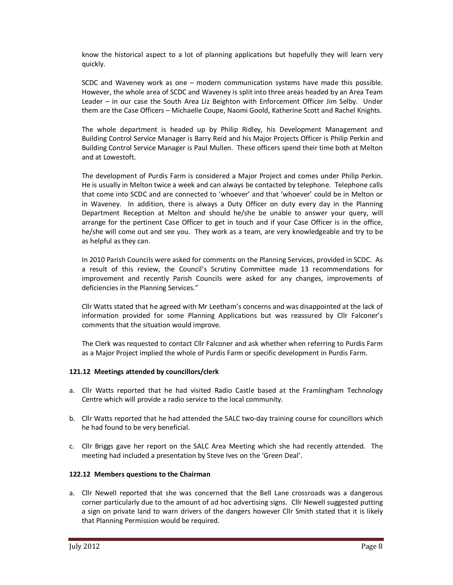know the historical aspect to a lot of planning applications but hopefully they will learn very quickly.

SCDC and Waveney work as one – modern communication systems have made this possible. However, the whole area of SCDC and Waveney is split into three areas headed by an Area Team Leader – in our case the South Area Liz Beighton with Enforcement Officer Jim Selby. Under them are the Case Officers – Michaelle Coupe, Naomi Goold, Katherine Scott and Rachel Knights.

The whole department is headed up by Philip Ridley, his Development Management and Building Control Service Manager is Barry Reid and his Major Projects Officer is Philip Perkin and Building Control Service Manager is Paul Mullen. These officers spend their time both at Melton and at Lowestoft.

The development of Purdis Farm is considered a Major Project and comes under Philip Perkin. He is usually in Melton twice a week and can always be contacted by telephone. Telephone calls that come into SCDC and are connected to 'whoever' and that 'whoever' could be in Melton or in Waveney. In addition, there is always a Duty Officer on duty every day in the Planning Department Reception at Melton and should he/she be unable to answer your query, will arrange for the pertinent Case Officer to get in touch and if your Case Officer is in the office, he/she will come out and see you. They work as a team, are very knowledgeable and try to be as helpful as they can.

In 2010 Parish Councils were asked for comments on the Planning Services, provided in SCDC. As a result of this review, the Council's Scrutiny Committee made 13 recommendations for improvement and recently Parish Councils were asked for any changes, improvements of deficiencies in the Planning Services."

Cllr Watts stated that he agreed with Mr Leetham's concerns and was disappointed at the lack of information provided for some Planning Applications but was reassured by Cllr Falconer's comments that the situation would improve.

The Clerk was requested to contact Cllr Falconer and ask whether when referring to Purdis Farm as a Major Project implied the whole of Purdis Farm or specific development in Purdis Farm.

#### **121.12 Meetings attended by councillors/clerk**

- a. Cllr Watts reported that he had visited Radio Castle based at the Framlingham Technology Centre which will provide a radio service to the local community.
- b. Cllr Watts reported that he had attended the SALC two-day training course for councillors which he had found to be very beneficial.
- c. Cllr Briggs gave her report on the SALC Area Meeting which she had recently attended. The meeting had included a presentation by Steve Ives on the 'Green Deal'.

# **122.12 Members questions to the Chairman**

a. Cllr Newell reported that she was concerned that the Bell Lane crossroads was a dangerous corner particularly due to the amount of ad hoc advertising signs. Cllr Newell suggested putting a sign on private land to warn drivers of the dangers however Cllr Smith stated that it is likely that Planning Permission would be required.